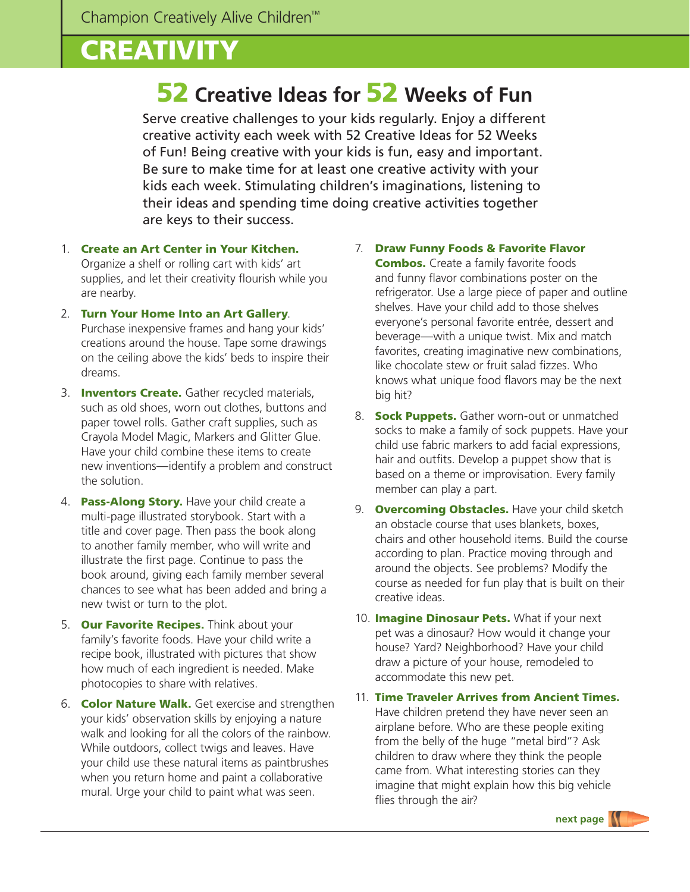## **CREATIVITY**

## 52 **Creative Ideas for** 52 **Weeks of Fun**

Serve creative challenges to your kids regularly. Enjoy a different creative activity each week with 52 Creative Ideas for 52 Weeks of Fun! Being creative with your kids is fun, easy and important. Be sure to make time for at least one creative activity with your kids each week. Stimulating children's imaginations, listening to their ideas and spending time doing creative activities together are keys to their success.

- 1. Create an Art Center in Your Kitchen. Organize a shelf or rolling cart with kids' art supplies, and let their creativity flourish while you are nearby.
- 2. Turn Your Home Into an Art Gallery. Purchase inexpensive frames and hang your kids' creations around the house. Tape some drawings on the ceiling above the kids' beds to inspire their dreams.
- 3. **Inventors Create.** Gather recycled materials, such as old shoes, worn out clothes, buttons and paper towel rolls. Gather craft supplies, such as Crayola Model Magic, Markers and Glitter Glue. Have your child combine these items to create new inventions—identify a problem and construct the solution.
- 4. Pass-Along Story. Have your child create a multi-page illustrated storybook. Start with a title and cover page. Then pass the book along to another family member, who will write and illustrate the first page. Continue to pass the book around, giving each family member several chances to see what has been added and bring a new twist or turn to the plot.
- 5. Our Favorite Recipes. Think about your family's favorite foods. Have your child write a recipe book, illustrated with pictures that show how much of each ingredient is needed. Make photocopies to share with relatives.
- 6. Color Nature Walk. Get exercise and strengthen your kids' observation skills by enjoying a nature walk and looking for all the colors of the rainbow. While outdoors, collect twigs and leaves. Have your child use these natural items as paintbrushes when you return home and paint a collaborative mural. Urge your child to paint what was seen.
- 7. Draw Funny Foods & Favorite Flavor **Combos.** Create a family favorite foods and funny flavor combinations poster on the refrigerator. Use a large piece of paper and outline shelves. Have your child add to those shelves everyone's personal favorite entrée, dessert and beverage—with a unique twist. Mix and match favorites, creating imaginative new combinations, like chocolate stew or fruit salad fizzes. Who knows what unique food flavors may be the next big hit?
- 8. **Sock Puppets.** Gather worn-out or unmatched socks to make a family of sock puppets. Have your child use fabric markers to add facial expressions, hair and outfits. Develop a puppet show that is based on a theme or improvisation. Every family member can play a part.
- 9. **Overcoming Obstacles.** Have your child sketch an obstacle course that uses blankets, boxes, chairs and other household items. Build the course according to plan. Practice moving through and around the objects. See problems? Modify the course as needed for fun play that is built on their creative ideas.
- 10. **Imagine Dinosaur Pets.** What if your next pet was a dinosaur? How would it change your house? Yard? Neighborhood? Have your child draw a picture of your house, remodeled to accommodate this new pet.
- 11. Time Traveler Arrives from Ancient Times. Have children pretend they have never seen an airplane before. Who are these people exiting from the belly of the huge "metal bird"? Ask children to draw where they think the people came from. What interesting stories can they imagine that might explain how this big vehicle flies through the air?

**next page**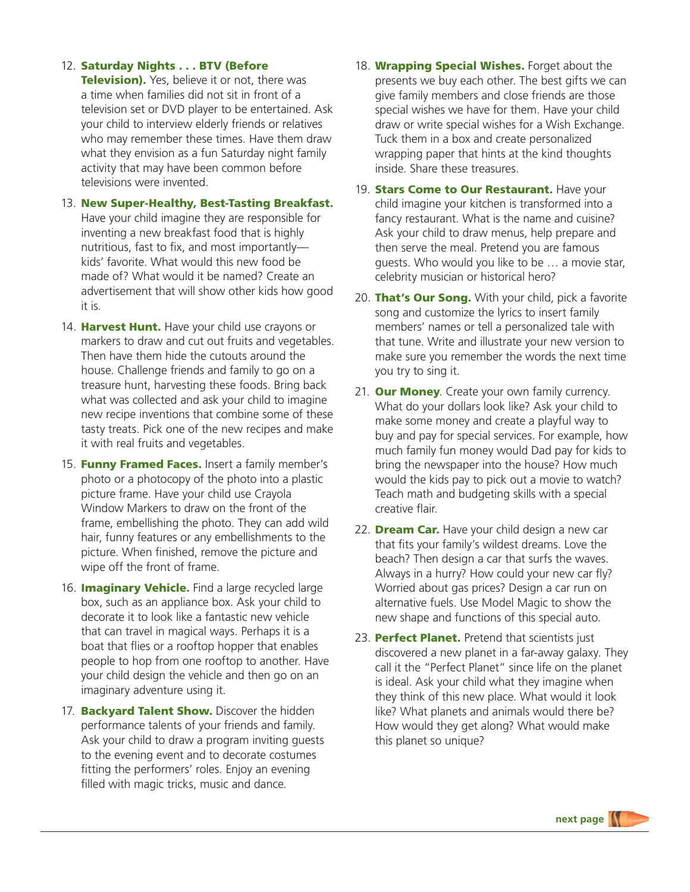## 12. Saturday Nights . . . BTV (Before

**Television).** Yes, believe it or not, there was a time when families did not sit in front of a television set or DVD player to be entertained. Ask your child to interview elderly friends or relatives who may remember these times. Have them draw what they envision as a fun Saturday night family activity that may have been common before televisions were invented.

- 13. New Super-Healthy, Best-Tasting Breakfast. Have your child imagine they are responsible for inventing a new breakfast food that is highly nutritious, fast to fix, and most importantly kids' favorite. What would this new food be made of? What would it be named? Create an advertisement that will show other kids how good it is.
- 14. Harvest Hunt. Have your child use crayons or markers to draw and cut out fruits and vegetables. Then have them hide the cutouts around the house. Challenge friends and family to go on a treasure hunt, harvesting these foods. Bring back what was collected and ask your child to imagine new recipe inventions that combine some of these tasty treats. Pick one of the new recipes and make it with real fruits and vegetables.
- 15. Funny Framed Faces. Insert a family member's photo or a photocopy of the photo into a plastic picture frame. Have your child use Crayola Window Markers to draw on the front of the frame, embellishing the photo. They can add wild hair, funny features or any embellishments to the picture. When finished, remove the picture and wipe off the front of frame.
- 16. **Imaginary Vehicle.** Find a large recycled large box, such as an appliance box. Ask your child to decorate it to look like a fantastic new vehicle that can travel in magical ways. Perhaps it is a boat that flies or a rooftop hopper that enables people to hop from one rooftop to another. Have your child design the vehicle and then go on an imaginary adventure using it.
- 17. **Backyard Talent Show.** Discover the hidden performance talents of your friends and family. Ask your child to draw a program inviting guests to the evening event and to decorate costumes fitting the performers' roles. Enjoy an evening filled with magic tricks, music and dance.
- 18. Wrapping Special Wishes. Forget about the presents we buy each other. The best gifts we can give family members and close friends are those special wishes we have for them. Have your child draw or write special wishes for a Wish Exchange. Tuck them in a box and create personalized wrapping paper that hints at the kind thoughts inside. Share these treasures.
- 19. **Stars Come to Our Restaurant.** Have your child imagine your kitchen is transformed into a fancy restaurant. What is the name and cuisine? Ask your child to draw menus, help prepare and then serve the meal. Pretend you are famous guests. Who would you like to be … a movie star, celebrity musician or historical hero?
- 20. That's Our Song. With your child, pick a favorite song and customize the lyrics to insert family members' names or tell a personalized tale with that tune. Write and illustrate your new version to make sure you remember the words the next time you try to sing it.
- 21. Our Money. Create your own family currency. What do your dollars look like? Ask your child to make some money and create a playful way to buy and pay for special services. For example, how much family fun money would Dad pay for kids to bring the newspaper into the house? How much would the kids pay to pick out a movie to watch? Teach math and budgeting skills with a special creative flair.
- 22. **Dream Car.** Have your child design a new car that fits your family's wildest dreams. Love the beach? Then design a car that surfs the waves. Always in a hurry? How could your new car fly? Worried about gas prices? Design a car run on alternative fuels. Use Model Magic to show the new shape and functions of this special auto.
- 23. Perfect Planet. Pretend that scientists just discovered a new planet in a far-away galaxy. They call it the "Perfect Planet" since life on the planet is ideal. Ask your child what they imagine when they think of this new place. What would it look like? What planets and animals would there be? How would they get along? What would make this planet so unique?

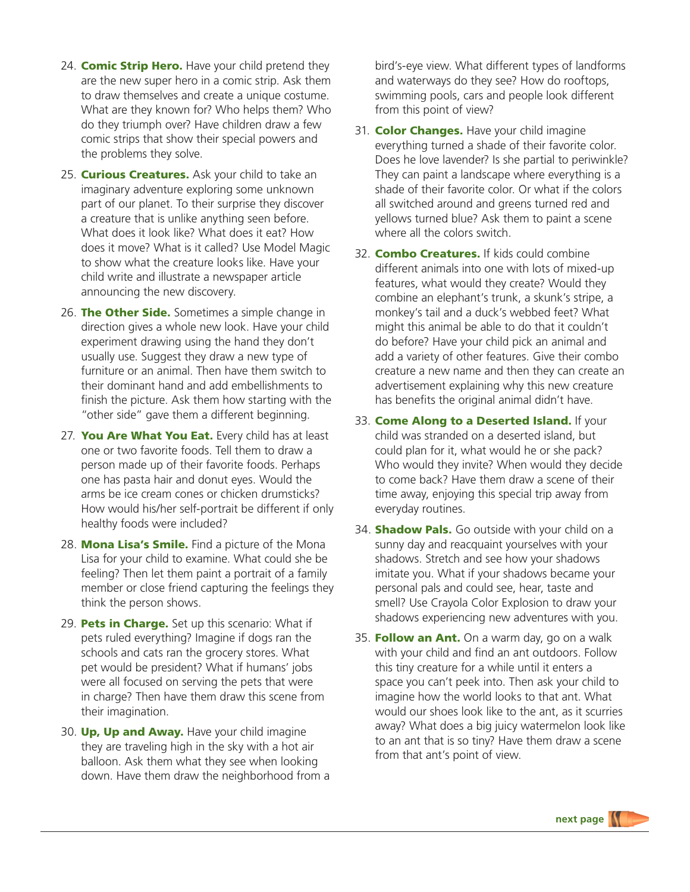- 24. **Comic Strip Hero.** Have your child pretend they are the new super hero in a comic strip. Ask them to draw themselves and create a unique costume. What are they known for? Who helps them? Who do they triumph over? Have children draw a few comic strips that show their special powers and the problems they solve.
- 25. **Curious Creatures.** Ask your child to take an imaginary adventure exploring some unknown part of our planet. To their surprise they discover a creature that is unlike anything seen before. What does it look like? What does it eat? How does it move? What is it called? Use Model Magic to show what the creature looks like. Have your child write and illustrate a newspaper article announcing the new discovery.
- 26. The Other Side. Sometimes a simple change in direction gives a whole new look. Have your child experiment drawing using the hand they don't usually use. Suggest they draw a new type of furniture or an animal. Then have them switch to their dominant hand and add embellishments to finish the picture. Ask them how starting with the "other side" gave them a different beginning.
- 27. You Are What You Eat. Every child has at least one or two favorite foods. Tell them to draw a person made up of their favorite foods. Perhaps one has pasta hair and donut eyes. Would the arms be ice cream cones or chicken drumsticks? How would his/her self-portrait be different if only healthy foods were included?
- 28. Mona Lisa's Smile. Find a picture of the Mona Lisa for your child to examine. What could she be feeling? Then let them paint a portrait of a family member or close friend capturing the feelings they think the person shows.
- 29. Pets in Charge. Set up this scenario: What if pets ruled everything? Imagine if dogs ran the schools and cats ran the grocery stores. What pet would be president? What if humans' jobs were all focused on serving the pets that were in charge? Then have them draw this scene from their imagination.
- 30. Up, Up and Away. Have your child imagine they are traveling high in the sky with a hot air balloon. Ask them what they see when looking down. Have them draw the neighborhood from a

bird's-eye view. What different types of landforms and waterways do they see? How do rooftops, swimming pools, cars and people look different from this point of view?

- 31. Color Changes. Have your child imagine everything turned a shade of their favorite color. Does he love lavender? Is she partial to periwinkle? They can paint a landscape where everything is a shade of their favorite color. Or what if the colors all switched around and greens turned red and yellows turned blue? Ask them to paint a scene where all the colors switch.
- 32 **Combo Creatures.** If kids could combine different animals into one with lots of mixed-up features, what would they create? Would they combine an elephant's trunk, a skunk's stripe, a monkey's tail and a duck's webbed feet? What might this animal be able to do that it couldn't do before? Have your child pick an animal and add a variety of other features. Give their combo creature a new name and then they can create an advertisement explaining why this new creature has benefits the original animal didn't have.
- 33. Come Along to a Deserted Island. If your child was stranded on a deserted island, but could plan for it, what would he or she pack? Who would they invite? When would they decide to come back? Have them draw a scene of their time away, enjoying this special trip away from everyday routines.
- 34. **Shadow Pals.** Go outside with your child on a sunny day and reacquaint yourselves with your shadows. Stretch and see how your shadows imitate you. What if your shadows became your personal pals and could see, hear, taste and smell? Use Crayola Color Explosion to draw your shadows experiencing new adventures with you.
- 35. Follow an Ant. On a warm day, go on a walk with your child and find an ant outdoors. Follow this tiny creature for a while until it enters a space you can't peek into. Then ask your child to imagine how the world looks to that ant. What would our shoes look like to the ant, as it scurries away? What does a big juicy watermelon look like to an ant that is so tiny? Have them draw a scene from that ant's point of view.

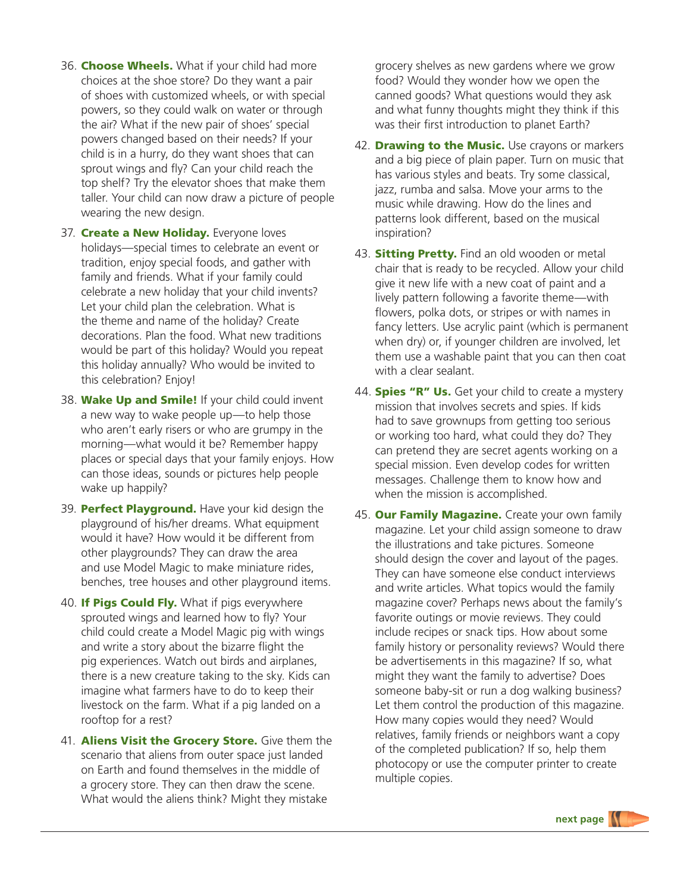- 36. Choose Wheels. What if your child had more choices at the shoe store? Do they want a pair of shoes with customized wheels, or with special powers, so they could walk on water or through the air? What if the new pair of shoes' special powers changed based on their needs? If your child is in a hurry, do they want shoes that can sprout wings and fly? Can your child reach the top shelf? Try the elevator shoes that make them taller. Your child can now draw a picture of people wearing the new design.
- 37. Create a New Holiday. Everyone loves holidays—special times to celebrate an event or tradition, enjoy special foods, and gather with family and friends. What if your family could celebrate a new holiday that your child invents? Let your child plan the celebration. What is the theme and name of the holiday? Create decorations. Plan the food. What new traditions would be part of this holiday? Would you repeat this holiday annually? Who would be invited to this celebration? Enjoy!
- 38. Wake Up and Smile! If your child could invent a new way to wake people up—to help those who aren't early risers or who are grumpy in the morning—what would it be? Remember happy places or special days that your family enjoys. How can those ideas, sounds or pictures help people wake up happily?
- 39. Perfect Playground. Have your kid design the playground of his/her dreams. What equipment would it have? How would it be different from other playgrounds? They can draw the area and use Model Magic to make miniature rides, benches, tree houses and other playground items.
- 40. **If Pigs Could Fly.** What if pigs everywhere sprouted wings and learned how to fly? Your child could create a Model Magic pig with wings and write a story about the bizarre flight the pig experiences. Watch out birds and airplanes, there is a new creature taking to the sky. Kids can imagine what farmers have to do to keep their livestock on the farm. What if a pig landed on a rooftop for a rest?
- 41. **Aliens Visit the Grocery Store.** Give them the scenario that aliens from outer space just landed on Earth and found themselves in the middle of a grocery store. They can then draw the scene. What would the aliens think? Might they mistake

grocery shelves as new gardens where we grow food? Would they wonder how we open the canned goods? What questions would they ask and what funny thoughts might they think if this was their first introduction to planet Earth?

- 42. **Drawing to the Music.** Use crayons or markers and a big piece of plain paper. Turn on music that has various styles and beats. Try some classical, jazz, rumba and salsa. Move your arms to the music while drawing. How do the lines and patterns look different, based on the musical inspiration?
- 43. **Sitting Pretty.** Find an old wooden or metal chair that is ready to be recycled. Allow your child give it new life with a new coat of paint and a lively pattern following a favorite theme—with flowers, polka dots, or stripes or with names in fancy letters. Use acrylic paint (which is permanent when dry) or, if younger children are involved, let them use a washable paint that you can then coat with a clear sealant.
- 44. **Spies "R" Us.** Get your child to create a mystery mission that involves secrets and spies. If kids had to save grownups from getting too serious or working too hard, what could they do? They can pretend they are secret agents working on a special mission. Even develop codes for written messages. Challenge them to know how and when the mission is accomplished.
- 45. Our Family Magazine. Create your own family magazine. Let your child assign someone to draw the illustrations and take pictures. Someone should design the cover and layout of the pages. They can have someone else conduct interviews and write articles. What topics would the family magazine cover? Perhaps news about the family's favorite outings or movie reviews. They could include recipes or snack tips. How about some family history or personality reviews? Would there be advertisements in this magazine? If so, what might they want the family to advertise? Does someone baby-sit or run a dog walking business? Let them control the production of this magazine. How many copies would they need? Would relatives, family friends or neighbors want a copy of the completed publication? If so, help them photocopy or use the computer printer to create multiple copies.